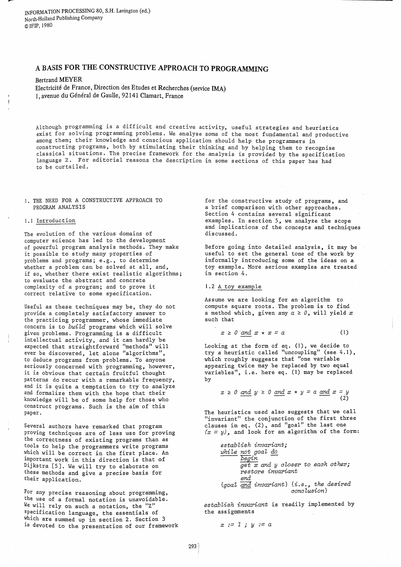INFORMATION PROCESSING 80, S.H. Lavington (ed.) North-Holland Publishing Company ©IFIP,1980

# A BASIS FOR THE CONSTRUCTIVE APPROACH TO PROGRAMMING

Bertrand MEYER Electricite de France, Direction des Etudes et Recherches (service IMA) 1, avenue du Général de Gaulle, 92141 Clamart, France

Although programming is a difficult and creative activity, useful strategies and heuristics exist for solving programming problems. We analyse some of the most fundamental and productive among them; their knowledge and conscious application should help the programmers in constructing programs, both by stimulating their thinking and by helping them to recognise classical situations. The precise framework for the. analysis is provided by the specification language Z. For editorial reasons the description in some sections of this paper has had to be curtailed.

1. THE NEED FOR A CONSTRUCTIVE APPROACH TO PROGRAM ANALYSIS

#### 1.1 Introduction

The evolution of the various domains of computer science has led to the development of powerful program analysis methods. They make it possible to study many properties of problems and programs; e.g., to determine whether a problem can be solved at all, and, if so, whether there exist realistic algorithms; to evaluate the abstract and concrete complexity of a program; and to prove it correct relative to some specification.

Useful as these techniques may be, they do not provide a completely satisfactory answer to the practicing programmer, whose immediate concern is to *build* programs which will solve given problems. Programming is a difficult intellectual activity, and it can hardly be expected that straightforward "methods" will ever be discovered, let alone "algorithms", to deduce programs from problems. To anyone seriously concerned with programming, however, it is obvious that certain fruitful thought patterns do recur with a remarkable frequency, and it is quite a temptation to try to analyze and formalize them with the hope that their knowledge will be of some help for those who construct programs. Such is the aim of this paper.

Several authors have remarked that program proving techniques are of less use for proving the correctness of existing programs than as tools to help the programmers write programs which will be correct in the first place. An important work in this direction is that of Dijkstra [5J. We will try to elaborate on these methods and give a precise basis for their application.

For any precise reasoning about programming, the use of a formal notation is unavoidable. We will rely on such a notation, the "Z" specification language, the essentials of which are summed up in section 2. Section 3 is devoted to the presentation of our framework

for the constructive study of programs, and a brief comparison with other approaches. Section 4 contains several significant examples. In section 5, we analyze the scope and implications of the concepts and techniques discussed.

Before going into detailed analysis, it may be useful to set the general tone of the work by informally introducing some of the ideas on a toy example. More serious examples are treated in section 4.

### 1.2 A toy example

Assume we are looking for an algorithm to compute square roots. The problem is to find a method which, given any  $a \ge 0$ , will yield x such that

$$
x \geq 0 \quad \text{and} \quad x \star x = a \tag{1}
$$

Looking at the form of eq. (1), we decide to try a heuristic called "uncoupling" (see 4.1), which roughly suggests that "one variable appearing twice may be replaced by two equal variables", i.e. here eq. (1) may be replaced by

$$
x \ge 0
$$
 and  $y \ge 0$  and  $x \star y = a$  and  $x = y$   
(2)

The heuristics used also suggests that we call "invariant" the conjunction of the first three clauses in eq. (2), and "goal" the last one  $(x = y)$ , and look for an algorithm of the form:

> *establish invariant; while not goal do* -- *begin get x and y* closer *to each other; restore invariant end {goal and invariant}* {i.e.~ *the desired* --- *conclusion}*

*establish invariant* is readily implemented by the assignments

$$
x := 1 ; y := a
$$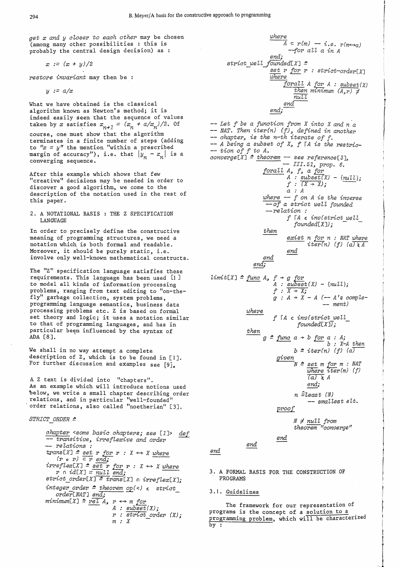*get x and y* closer *to each other* may be chosen (among many other possibilities : this is probably the central design decision) as :

$$
x := (x + y)/2
$$

*restore invariant* may then be

*y* := *a/x* 

What we have obtained is the classical algorithm known as Newton's method; it is indeed easily seen that the sequence of values<br>taken by *x* satisfies  $x_{n+1} = (x_n + a/x_n)/2$ . Of

course, one must show that the algorithm terminates in a finite number of steps (adding<br>to  $"x = y"$  the mention "within a prescribed margin of accuracy"), i.e. that  $|y_n - x_n|$  is a converging sequence.

After this example which shows that few "creative" decisions may be needed in order to discover a good algorithm, we come to the description of the notation used in the rest of this paper.

2. A NOTATIONAL BASIS : THE Z SPECIFICATION LANGUAGE

In order to precisely define the constructive meaning of programming structures, we need a notation which, is both formal and readable. Moreover, it should be purely static, i.e. involve only well-known mathematical constructs.

The "z" specification language satisfies these requirements. This language has been used [1 J to model all kinds of information processing problems, ranging from text editing to "on-thefly" garbage collection, system problems, programming language semantics, business data processing problems etc. Z is based on formal set theory and logic; it uses a notation similar to that of programming languages, and has in particular been influenced by the syntax of ADA [8J.

We shall in no way attempt a complete description of Z, which is to be found in [IJ. For further discussion and examples see [9].

A Z text is divided into "chapters". As an example which will introduce notions used below, we write a small chapter describing order relations, and in particular "well-founded" order relations, also called "noetherian" [3].

*STRICT ORDER* !!

*chapter <some basic chapters; see* [lJ> *del* -- transitive~ *irre[lexive and order* -- re *lations :*   $trans[X] \triangleq set \nvert r \nvert for \nvert r : X \leftrightarrow X \nvert where \nvert (r \nvert o \nvert r) \nvert \nvert \nvert en \overline{d}$ ;  $irreflex[X] =$   $\overline{set}$  **r**  $\overline{for}$  **r** :  $X \leftrightarrow X$  where  $(r \circ r) \in r$  end;<br>
eftex[X]  $\cong$  <u>set</u> r for r :  $X \leftrightarrow X$  where<br>
r n *id*[X]  $\cong$  *null end*;<br>
ict order[X]  $\cong$  *rarg*[X]  $\circ$  *imafla*[X] *strict\_order[XJ* !! *trans[X]* n *irreflex[X];*   $integer\_{order} = *theorem*\_{op}(<) \in *strict*$ *order[NATJ end;*   $minimm[X] \triangleq \underbrace{rel \ A}_{A}$ ,  $r \leftrightarrow m \text{ for } A$ :  $subset(X)$ ;  $r :$  *strict\_order*  $(X)$ ;<br> $m : X$ 

*where*   $\overline{A}$  =  $r(m)$  - *i.e.*  $r(m \leftrightarrow a)$ --for *aU a in A end; strict* well *[ounded[X]* <sup>~</sup>  $set$  *r for r : strict-order*[X] *where*   $\overline{forall}$  A for A : *subset(X)*  $then$  minimum  $(A, r) \neq$ *null* end~ *end;--* -- *Let f be a function from X into X and n'a* -- *NAT. Then iter(n)* (f)~ *defined in another* -- *chapter.,* is *the n-th iterate of* [. -- *A being a subset of X.,* [ *iA* is *the restric-* -- *tion of f to A.*   $converge[X]$   $\triangleq$   $theorem$  -- *see reference*[3],</u> -- *III.* 51., *prop. 6. forall A*, *f*, *a for A* : *subset X)* - *{nuU};*   $f : (X \rightarrow X);$ *a* : A *where* -- *f on A is the inverse --of a strict weU founded --relation : then end ena;- [ iA* E *inv(strict well*   $founded[X]$ ; *exist* ~ *for; n* : NAT *where*   $iter(n)$  (f)  $(a)$   $\overline{A}$ *end limit*[X]  $\triangleq$  *func A, f + g for*  $A: \underline{\text{subset}}(X) - \{ \text{null} \};$  $f : \overline{X + X_5}$ *where then*   $g : A \rightarrow X - A$  (--  $A's$  *comple-* -- *ment*) *f rA* € *inv{strict well [ounded[X]); g*  $\Rightarrow$  *func a*  $\Rightarrow$  *b for a* : *A*;<br>*b* : *X-A then*  $b \triangleq iter(n)$  (f) (a) *given*   $N \triangleq set$  *m for m : NAT*  $\overline{\omega}$ *here iter(m)* (f)  $(a) \times A$ *end; n* ~z.east (N) -- *smaUest e* Lt. *proof end end*   $N \neq null$  from  $theorem$  "converge"

*end* 

- 3. A FORMAL BASIS FOR THE CONSTRUCTION OF PROGRAMS
- 3.1. Guidelines

The framework for our representation of programs is the concept of a solution to a programming problem, which will be characterized by :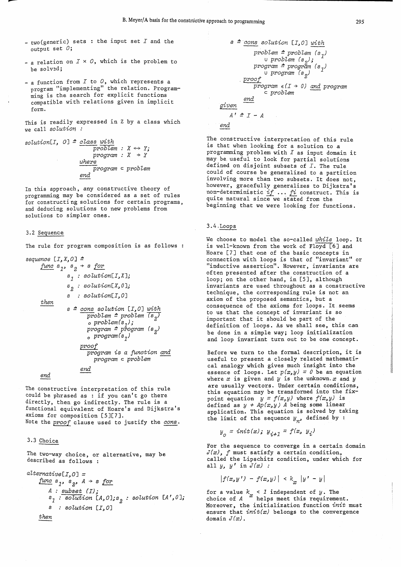- $two (generic)$  sets : the input set  $I$  and the output set  $O$ ;
- a relation on  $I \times O$ , which is the problem to be solved;
- a function from  $I$  to  $O$ , which represents a program "implementing" the relation. Programming is the search for explicit functions compatible with relations given in implicit form.

This is readily expressed in Z by a class which we call *8oLution* 

 $solution[I, 0] \triangleq class with$  $problem: X \leftrightarrow Y;$  $program: X \rightarrow Y$  $where$ *pT'ogram*  <sup>C</sup>*pT'oblem end* 

In this approach, any constructive theory of programming may be considered as a set of rules for constructing solutions for certain programs, and deducing solutions to new problems from solutions to simpler ones.

#### 3.2 Sequence

--

The rule for program composition is as follows :

```
sequence [I,X,OJ ~
      func s<sub>1</sub>, s<sub>2</sub> + s forthen 
                   81 solution[I,XJ; 
                   so lution[X, 0 J; 
                   solution[I, OJ 
                   8~ cons solution [I,OJ with 
                             \frac{1}{\text{problem}} \geq \frac{\text{problem}}{\text{graph}(s_1)}<br>o \frac{\text{problem}}{\text{graph}(s_1)};
                             pT'ogram ~ program (s2) 
                             opT'ogram(81) 
                         pT'oof 
                             \overline{program} is a function and
                                pT'ogram c problem 
                          end
```
*end* 

The constructive interpretation of this rule could be phrased as : if you can't go there directly, then go indirectly. The rule is a functional equivalent of Hoare's and Dijkstra's axioms for composition [5][7]. Note the *proof* clause used to justify the *cons*.

## 3.3 Choice

The two-way choice, or alternative, may be described as follows :

$$
alternative[I, 0] =
$$
\n
$$
func s1, s2, A \t s for
$$
\n
$$
A : subset(I);
$$
\n
$$
s1 : solution [A, 0]; s2 : solution [A', 0];
$$
\n
$$
s : solution [I, 0]
$$
\n
$$
then
$$

*s* ~.~ *solution [I,* OJ *with pT'oblem* ~ *pT'oblem* (s ) u *problem* (s<sub>2</sub>);  $\cup$  ;  $^{-1}$ *progT'am* ~ *program* (8 ) u program (s<sub>2</sub>) <sup>1</sup> *. pT'oof*   $\frac{1}{2} \cdot \frac{1}{2}$   $\frac{1}{2}$   $\frac{1}{2}$   $\frac{1}{2}$   $\frac{1}{2}$   $\frac{1}{2}$   $\frac{1}{2}$   $\frac{1}{2}$   $\frac{1}{2}$   $\frac{1}{2}$   $\frac{1}{2}$   $\frac{1}{2}$   $\frac{1}{2}$   $\frac{1}{2}$   $\frac{1}{2}$   $\frac{1}{2}$   $\frac{1}{2}$   $\frac{1}{2}$   $\frac{1}{2}$   $\frac{1}{2}$   $\frac{1}{2}$   $\$ *end given*  <sup>C</sup>*pT'oblem* ---

 $A' \triangleq I - A$ 

*end* 

The constructive interpretation of this rule is that when looking for a solution to a programming problem with  $I$  as input domain it maY.be useful to look for partial solutions deflned on disjoint subsets of *I.* The rule could of course be generalized to a partition involving more than two subsets. It does not, however, gracefully generalizes to Dijkstra's non-deterministic *if* .•. *fi* construct. This is quite natural since-we stated from the beginning that we were looking for functions.

#### 3.4.Loops

We choose to model the so-called *while* loop. It is well-known from the work of Floyd [6] and Hoare [7J that one of the basic concepts in connection with loops is that of "invariant" or "inductive assertion". However, invariants are often presented after the construction of a loop; on the other hand, in [5J, although invariants are used throughout as a constructive technique, the corresponding rule is not an axiom of the proposed semantics, but a consequence of the axioms for loops. It seems to us that the concept of invariant is so important that it should be part of the definition of loops. As we shall see, this can be done in a simple way; loop initialization and loop invariant turn out to be one concept.

Before we turn to the formal description, it is useful to present a closely related mathemati~ cal analogy which gives much insight into the essence of loops. Let  $p(x,y) = 0$  be an equation where  $x$  is given and  $y$  is the unknown.  $x$  and  $y$ are usually vectors. Under certain conditions this equation may be transformed into the fix-<br>point equation  $y = f(x,y)$  where  $f(x,y)$  is defined as  $y + Ap(x, y)$  *A* being some linear application. This equation is solved by taking the limit of the sequence  $y_n$ , defined by :

$$
y_o = init(x); y_{i+1} = f(x, y_i)
$$

For the sequence to converge in a certain domain *J(x),* f must satisfy a certain condition, called the Lipschitz condition, under which for all *y, y'* in *J(x) :* 

$$
|f(x,y') - f(x,y)| < k_{\pi} |y' - y|
$$

for a value  $k_{\infty} < 1$  independent of *y*. The choice of  $A$   $x$  helps meet this requirement. Moreover, the initialization function *init* must ensure that *init(x)* belongs to the convergence domain *J(x).*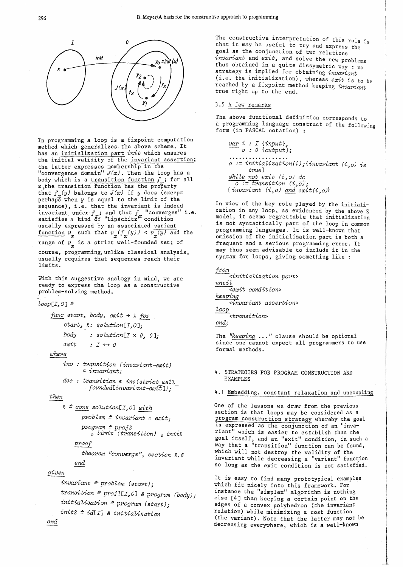

In programming a loop is a fixpoint computation method which generalizes the above scheme. It has an initialization part *init* which ensures the initial validity of the invariant assertion; the latter expresses membership in the "convergence domain"  $J(x)$ . Then the loop has a body which is a transition function  $f_n$ ; for all x, the transition function has the property that  $f_n(y)$  belongs to  $J(x)$  if y does (except perhaps when  $y$  is equal to the limit of the sequence), i.e. that the invariant is indeed invariant under  $f_n$ ; and that  $f_n$  "converges" i.e. satisfies a kind  $\mathfrak{E}_f$  "Lipschitz $\mathfrak{x}$  condition usually expressed by an associated variant function  $v_x$  such that  $v_x(f_x(y)) < v_x(y)$  and the range of  $v_x$  is a strict well-founded set; of course, programming,unl±ke classical analysis, usually requires that sequences reach their limits.

With this suggestive analogy in mind, we are ready to express the loop as a constructive problem-solving method.

### $loop[I,0] =$

 $func~start,~body,~exit + l for$ start,  $l:$  solution[I,0]; *body* : solution[ $I \times 0$ ,  $0$ ];  $exit$  :  $I \leftrightarrow 0$ 

### *where*

*inv transition (invariant-exit)* <sup>c</sup>*invariant;* 

*dec transition* € *inv(strict weZl foundedCinvariant-exitJ);* 

# *then*

```
2 \triangleq \text{cons} solution[I,0] with
      probZem = invariant n exit; 
       program = proj 2 oZimit (transition) 0 init2 
    proof
```
*theorem* "converge"~ *section* 2.6 *end* 

### *given*

*invariant* ~ *probZem (start); transition* ~ *projl [I ..* OJ & *program (body); initiaZization* ~ *program (start); init2* ~ *idCIJ* & *initiaZization* 

The constructive interpretation of this rule is Ine constructive interpretation of this rule is<br>that it may be useful to try and express the goal as the conjunction of two relations *invariant* and  $exit$ , and solve the new problems thus obtained in a quite dissymetric way : no strategy is implied for obtaining *invariant*  $(i.e. the initialization)$ , whereas exit is to be reached by a fixpoint method keeping *invariant* true right up to the end.

## 3.5 A few remarks

The above functional definition corresponds to form (in PASCAL notation) : a programming language construct of the following

*var i* : *I {input}* <sup>~</sup> *o* : *0 {output* }.; . . . . . . . . . . . . . . . *o* := *initiaZization(i);{invariant* (i~o) *is true} while not exit* (i~o) *do* o := *transit'ion ((,OJ;*   $\{invariant (i, o) \text{ and } exit(i, o)\}$ 

In view of the key role played by the initialization in any loop, as evidenced by the above Z model, it seems regrettable that initialization is not syntactically part of the loop in common programming languages. It is well-known that omission of the initialization part is both a frequent and a serious programming error. It may thus seem advisable to include it in the syntax for loops, giving something like:

```
from 
     <initiaZization part> 
until 
     -----<exit condition> 
keeping 
     <invariant assert'l:01'l> 
loop 
     <transition> 
end;
```
The "*keeping* ..." clause should be optional since one cannot expect all programmers to use formal methods.

### 4. STRATEGIES FOR PROGRAM CONSTRUCTION AND EXAMPLES

4.1 Embedding, constant relaxation and uncoupling

One of the lessons we draw from the previous section is that loops may be considered as a program construction strategy whereby the goal is expressed as the conjunction of an "invariant" which is easier to establish than the goal itself, and an "exit" condition, in such a way that a "transition" function can be found, which will not destroy the validity of the invariant while decreasing a "variant" function so long as the exit condition is not satisfied.

It is easy to find many prototypical examples which fit nicely into this framework. For instance the "simplex" algorithm is nothing else [4J than keeping a certain point on the edges of a convex polyhedron (the invariant relation) while minimizing a cost function (the variant), Note that the latter may not be decreasing everywhere, which is a well-known

# *end*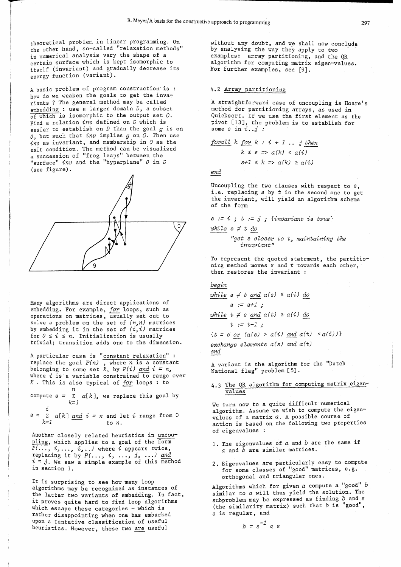theoretical problem in linear programming. On the other hand, so-called "relaxation methods" in numerical analysis vary the shape of a certain surface which is kept isomorphic to itself (invariant) and gradually decrease its energy function (variant).

A basic problem of program construction is : how do we weaken the goals to get the invariants ? The general method may be called embedding : use a larger domain *D,* a subset of which is isomorphic to the output set  $0$ . Find a relation *inv* defined on D which is easier to establish on D than the goal *g* is on *0,* but such that *inv* implies *g* on O. Then use  $inv$  as invariant, and membership in  $O$  as the exit condition. The method can be visualized a succession of "frog leaps" between the "surface" *inv* and the "hyperplane" 0 in D (see figure).



Many algorithms are direct applications of embedding. For example, *for* loops, such as operations on matrices, usually set out to solve a problem on the set of  $(n,n)$  matrices by embedding it in the set of  $(i,i)$  matrices<br>by embedding it in the set of  $(i,i)$  matrices for  $0 \le i \le n$ . Initialization is usually trivial; transition adds one to the dimension.

A particular case is "constant relaxation" : replace the goal  $P(n)$ , where *n* is a constant belonging to some set *X*, by  $P(i)$  and  $i = n$ , where  $i$  is a variable constrained to range over *X* . This is also typical of *for* loops : to

compute  $s = \sum_{\lambda}^n a[k]$ , we replace this goal by k=l

i  $s = \sum_{i=1}^{n} a[k]$  *and*  $i = n$  and let *i* range from 0  $k=1$  to *n*.

Another closely related heuristics in uncoupling, which applies to a goal of the form  $P(\ldots, i, \ldots, i, \ldots)$  where i appears twice, replacing it by  $P(\ldots, i, \ldots, j, \ldots)$  and  $i = j$ . We saw a simple example of this method in section 1.

It is surprising to see how many loop algorithms may be recognized as instances of the latter two variants of embedding, In fact, it proves quite hard to find loop algorithms which escape these categories  $-$  which is rather disappointing when one has embarked upon a tentative classification of useful heuristics. However, these two are useful

without any doubt, and we shall now conclude by analysing the way they apply to two examples: array partitioning, and the QR algorithm for computing matrix eigen-values. For further examples, see [9].

### 4.2 Array partitioning

A straightforward case of uncoupling is Hoare's method for partitioning arrays, as used in Quicksort. If we use the first element as the pivot [13J, the problem is to establish for some  $s$  in  $i$ .. $j$  :

$$
for all k for k : i + 1 ... j then
$$

 $k \leq s \Rightarrow a(k) \leq a(i)$  $s+1 \leq k \Rightarrow a(k) \geq a(i)$ 

*end* 

Uncoupling the two clauses with respect to s, i.e. replacing *s* by t in the second one to get the invariant, will yield an algorithm schema of the form

$$
s := i ; t := j ; {invariant is true}
$$

$$
\textit{while } s \neq t \,\, \textit{do}
$$

*"get* s *closer to* t~ *maintaining the invariant* <sup>11</sup>

To represent the quoted statement, the partitioning method moves  $s$  and  $t$  towards each other, then restores the invariant :

### *begin*

*while*  $s \neq t$  *and a(s)*  $\leq a(i)$  *do s* := *s+1 ;* 

*while t ≠ s and a(t) ≥ a(i) do* 

$$
t := t-1
$$

 $\{t = s \text{ or } (a(s) > a(i) \text{ and } a(t) < a(i))\}$ exchange elements a(s) and a(t) *end* 

A variant is the algorithm for the "Dutch National flag" problem [5].

# 4.3 The QR algorithm for computing matrix eigenvalues

We turn now to a quite difficult numerical algorithm. Assume we wish to compute the eigenvalues of a matrix *a.* A possible course of action is based on the following two properties of eigenvalues :

- 1. The eigenvalues of *a* and *b* are the same if *a* and *b* are similar matrices.
- 2. Eigenvalues are particularly easy to compute for some classes of "good" matrices, e.g. orthogonal and triangular ones.

Algorithms which for given  $a$  compute a "good"  $b$ similar to *a* will thus yield the solution. The subproblem may be expressed as finding  $b$  and  $s$ (the similarity matrix) such that *b* is "good", s is regular, and

$$
b = s^{-1} a s
$$